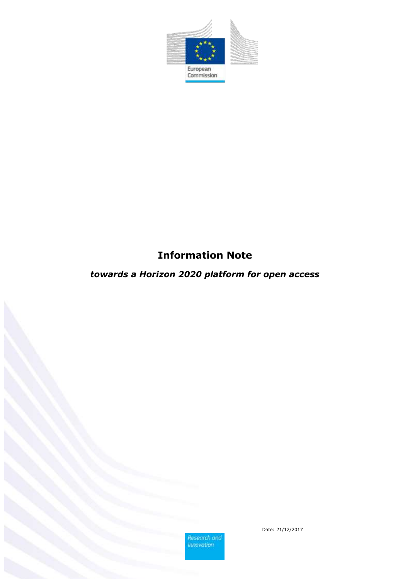

# **Information Note**

# *towards a Horizon 2020 platform for open access*

Research and<br>Innovation

Date: 21/12/2017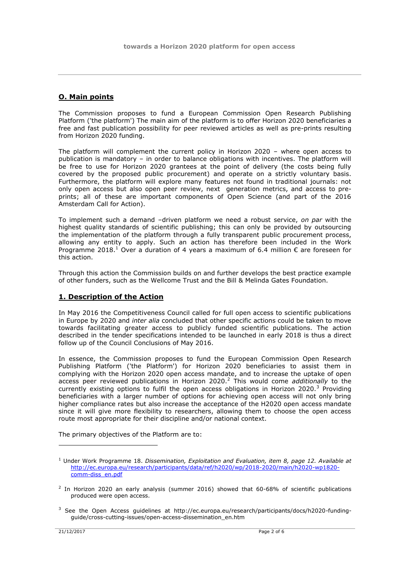## **O. Main points**

The Commission proposes to fund a European Commission Open Research Publishing Platform ('the platform') The main aim of the platform is to offer Horizon 2020 beneficiaries a free and fast publication possibility for peer reviewed articles as well as pre-prints resulting from Horizon 2020 funding.

The platform will complement the current policy in Horizon 2020 – where open access to publication is mandatory – in order to balance obligations with incentives. The platform will be free to use for Horizon 2020 grantees at the point of delivery (the costs being fully covered by the proposed public procurement) and operate on a strictly voluntary basis. Furthermore, the platform will explore many features not found in traditional journals: not only open access but also open peer review, next generation metrics, and access to preprints; all of these are important components of Open Science (and part of the 2016 Amsterdam Call for Action).

To implement such a demand –driven platform we need a robust service, *on par* with the highest quality standards of scientific publishing; this can only be provided by outsourcing the implementation of the platform through a fully transparent public procurement process, allowing any entity to apply. Such an action has therefore been included in the Work Programme 2018.<sup>1</sup> Over a duration of 4 years a maximum of 6.4 million  $\epsilon$  are foreseen for this action.

Through this action the Commission builds on and further develops the best practice example of other funders, such as the Wellcome Trust and the Bill & Melinda Gates Foundation.

## **1. Description of the Action**

In May 2016 the Competitiveness Council called for full open access to scientific publications in Europe by 2020 and *inter alia* concluded that other specific actions could be taken to move towards facilitating greater access to publicly funded scientific publications. The action described in the tender specifications intended to be launched in early 2018 is thus a direct follow up of the Council Conclusions of May 2016.

In essence, the Commission proposes to fund the European Commission Open Research Publishing Platform ('the Platform') for Horizon 2020 beneficiaries to assist them in complying with the Horizon 2020 open access mandate, and to increase the uptake of open access peer reviewed publications in Horizon 2020.<sup>2</sup> This would come *additionally* to the currently existing options to fulfil the open access obligations in Horizon 2020.<sup>3</sup> Providing beneficiaries with a larger number of options for achieving open access will not only bring higher compliance rates but also increase the acceptance of the H2020 open access mandate since it will give more flexibility to researchers, allowing them to choose the open access route most appropriate for their discipline and/or national context.

The primary objectives of the Platform are to:

1

<sup>1</sup> Under Work Programme 18. *Dissemination, Exploitation and Evaluation, item 8, page 12. Available at* [http://ec.europa.eu/research/participants/data/ref/h2020/wp/2018-2020/main/h2020-wp1820](http://ec.europa.eu/research/participants/data/ref/h2020/wp/2018-2020/main/h2020-wp1820-comm-diss_en.pdf) [comm-diss\\_en.pdf](http://ec.europa.eu/research/participants/data/ref/h2020/wp/2018-2020/main/h2020-wp1820-comm-diss_en.pdf)

 $2$  In Horizon 2020 an early analysis (summer 2016) showed that 60-68% of scientific publications produced were open access.

<sup>&</sup>lt;sup>3</sup> See the Open Access guidelines at http://ec.europa.eu/research/participants/docs/h2020-fundingguide/cross-cutting-issues/open-access-dissemination\_en.htm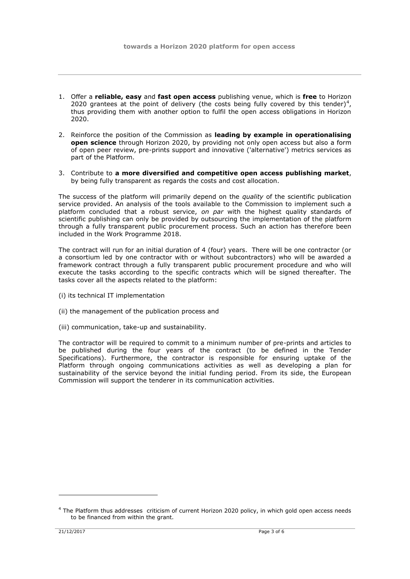- 1. Offer a **reliable, easy** and **fast open access** publishing venue, which is **free** to Horizon 2020 grantees at the point of delivery (the costs being fully covered by this tender) $4$ , thus providing them with another option to fulfil the open access obligations in Horizon 2020.
- 2. Reinforce the position of the Commission as **leading by example in operationalising open science** through Horizon 2020, by providing not only open access but also a form of open peer review, pre-prints support and innovative ('alternative') metrics services as part of the Platform.
- 3. Contribute to **a more diversified and competitive open access publishing market**, by being fully transparent as regards the costs and cost allocation.

The success of the platform will primarily depend on the *quality* of the scientific publication service provided. An analysis of the tools available to the Commission to implement such a platform concluded that a robust service, *on par* with the highest quality standards of scientific publishing can only be provided by outsourcing the implementation of the platform through a fully transparent public procurement process. Such an action has therefore been included in the Work Programme 2018.

The contract will run for an initial duration of 4 (four) years. There will be one contractor (or a consortium led by one contractor with or without subcontractors) who will be awarded a framework contract through a fully transparent public procurement procedure and who will execute the tasks according to the specific contracts which will be signed thereafter. The tasks cover all the aspects related to the platform:

- (i) its technical IT implementation
- (ii) the management of the publication process and
- (iii) communication, take-up and sustainability.

The contractor will be required to commit to a minimum number of pre-prints and articles to be published during the four years of the contract (to be defined in the Tender Specifications). Furthermore, the contractor is responsible for ensuring uptake of the Platform through ongoing communications activities as well as developing a plan for sustainability of the service beyond the initial funding period. From its side, the European Commission will support the tenderer in its communication activities.

1

<sup>4</sup> The Platform thus addresses criticism of current Horizon 2020 policy, in which gold open access needs to be financed from within the grant.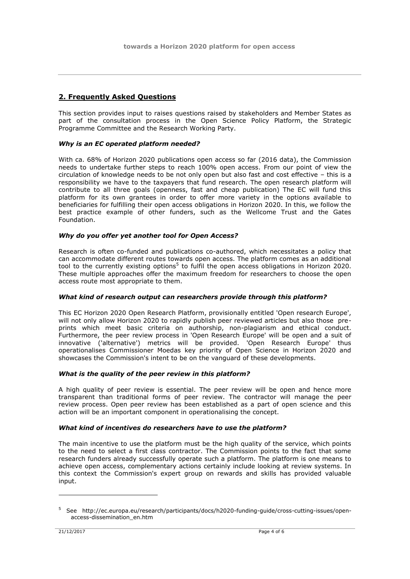## **2. Frequently Asked Questions**

This section provides input to raises questions raised by stakeholders and Member States as part of the consultation process in the Open Science Policy Platform, the Strategic Programme Committee and the Research Working Party.

## *Why is an EC operated platform needed?*

With ca. 68% of Horizon 2020 publications open access so far (2016 data), the Commission needs to undertake further steps to reach 100% open access. From our point of view the circulation of knowledge needs to be not only open but also fast and cost effective – this is a responsibility we have to the taxpayers that fund research. The open research platform will contribute to all three goals (openness, fast and cheap publication) The EC will fund this platform for its own grantees in order to offer more variety in the options available to beneficiaries for fulfilling their open access obligations in Horizon 2020. In this, we follow the best practice example of other funders, such as the Wellcome Trust and the Gates Foundation.

## *Why do you offer yet another tool for Open Access?*

Research is often co-funded and publications co-authored, which necessitates a policy that can accommodate different routes towards open access. The platform comes as an additional tool to the currently existing options<sup>5</sup> to fulfil the open access obligations in Horizon 2020. These multiple approaches offer the maximum freedom for researchers to choose the open access route most appropriate to them.

### *What kind of research output can researchers provide through this platform?*

This EC Horizon 2020 Open Research Platform, provisionally entitled 'Open research Europe', will not only allow Horizon 2020 to rapidly publish peer reviewed articles but also those preprints which meet basic criteria on authorship, non-plagiarism and ethical conduct. Furthermore, the peer review process in 'Open Research Europe' will be open and a suit of innovative ('alternative') metrics will be provided. 'Open Research Europe' thus operationalises Commissioner Moedas key priority of Open Science in Horizon 2020 and showcases the Commission's intent to be on the vanguard of these developments.

## *What is the quality of the peer review in this platform?*

A high quality of peer review is essential. The peer review will be open and hence more transparent than traditional forms of peer review. The contractor will manage the peer review process. Open peer review has been established as a part of open science and this action will be an important component in operationalising the concept.

## *What kind of incentives do researchers have to use the platform?*

The main incentive to use the platform must be the high quality of the service, which points to the need to select a first class contractor. The Commission points to the fact that some research funders already successfully operate such a platform. The platform is one means to achieve open access, complementary actions certainly include looking at review systems. In this context the Commission's expert group on rewards and skills has provided valuable input.

1

<sup>5</sup> See http://ec.europa.eu/research/participants/docs/h2020-funding-guide/cross-cutting-issues/openaccess-dissemination\_en.htm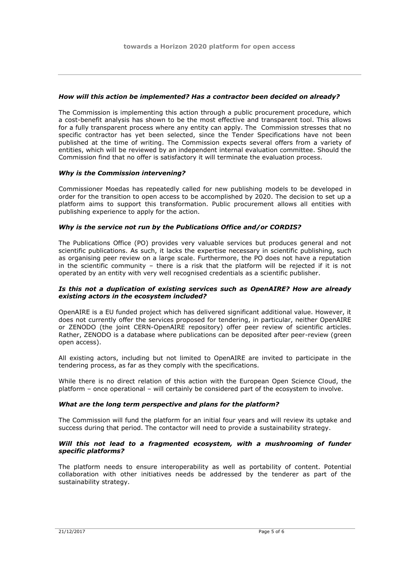#### *How will this action be implemented? Has a contractor been decided on already?*

The Commission is implementing this action through a public procurement procedure, which a cost-benefit analysis has shown to be the most effective and transparent tool. This allows for a fully transparent process where any entity can apply. The Commission stresses that no specific contractor has yet been selected, since the Tender Specifications have not been published at the time of writing. The Commission expects several offers from a variety of entities, which will be reviewed by an independent internal evaluation committee. Should the Commission find that no offer is satisfactory it will terminate the evaluation process.

#### *Why is the Commission intervening?*

Commissioner Moedas has repeatedly called for new publishing models to be developed in order for the transition to open access to be accomplished by 2020. The decision to set up a platform aims to support this transformation. Public procurement allows all entities with publishing experience to apply for the action.

#### *Why is the service not run by the Publications Office and/or CORDIS?*

The Publications Office (PO) provides very valuable services but produces general and not scientific publications. As such, it lacks the expertise necessary in scientific publishing, such as organising peer review on a large scale. Furthermore, the PO does not have a reputation in the scientific community – there is a risk that the platform will be rejected if it is not operated by an entity with very well recognised credentials as a scientific publisher.

#### *Is this not a duplication of existing services such as OpenAIRE? How are already existing actors in the ecosystem included?*

OpenAIRE is a EU funded project which has delivered significant additional value. However, it does not currently offer the services proposed for tendering, in particular, neither OpenAIRE or ZENODO (the joint CERN-OpenAIRE repository) offer peer review of scientific articles. Rather, ZENODO is a database where publications can be deposited after peer-review (green open access).

All existing actors, including but not limited to OpenAIRE are invited to participate in the tendering process, as far as they comply with the specifications.

While there is no direct relation of this action with the European Open Science Cloud, the platform – once operational – will certainly be considered part of the ecosystem to involve.

#### *What are the long term perspective and plans for the platform?*

The Commission will fund the platform for an initial four years and will review its uptake and success during that period. The contactor will need to provide a sustainability strategy.

#### *Will this not lead to a fragmented ecosystem, with a mushrooming of funder specific platforms?*

The platform needs to ensure interoperability as well as portability of content. Potential collaboration with other initiatives needs be addressed by the tenderer as part of the sustainability strategy.